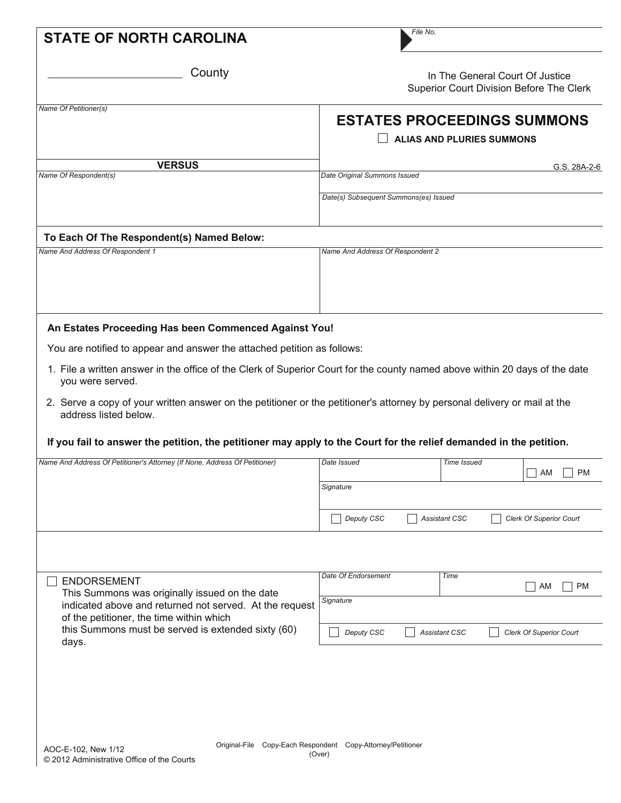| County                                                                                                                                             |                                       |                                                                        | In The General Court Of Justice<br>Superior Court Division Before The Clerk |  |
|----------------------------------------------------------------------------------------------------------------------------------------------------|---------------------------------------|------------------------------------------------------------------------|-----------------------------------------------------------------------------|--|
| Name Of Petitioner(s)                                                                                                                              |                                       | <b>ESTATES PROCEEDINGS SUMMONS</b><br><b>ALIAS AND PLURIES SUMMONS</b> |                                                                             |  |
| <b>VERSUS</b>                                                                                                                                      |                                       |                                                                        | G.S. 28A-2-6                                                                |  |
| Name Of Respondent(s)                                                                                                                              | Date Original Summons Issued          |                                                                        |                                                                             |  |
|                                                                                                                                                    | Date(s) Subsequent Summons(es) Issued |                                                                        |                                                                             |  |
| To Each Of The Respondent(s) Named Below:                                                                                                          |                                       |                                                                        |                                                                             |  |
| Name And Address Of Respondent 1                                                                                                                   | Name And Address Of Respondent 2      |                                                                        |                                                                             |  |
|                                                                                                                                                    |                                       |                                                                        |                                                                             |  |
| An Estates Proceeding Has been Commenced Against You!                                                                                              |                                       |                                                                        |                                                                             |  |
| You are notified to appear and answer the attached petition as follows:                                                                            |                                       |                                                                        |                                                                             |  |
| 1. File a written answer in the office of the Clerk of Superior Court for the county named above within 20 days of the date<br>you were served.    |                                       |                                                                        |                                                                             |  |
|                                                                                                                                                    |                                       |                                                                        |                                                                             |  |
| 2. Serve a copy of your written answer on the petitioner or the petitioner's attorney by personal delivery or mail at the<br>address listed below. |                                       |                                                                        |                                                                             |  |
| If you fail to answer the petition, the petitioner may apply to the Court for the relief demanded in the petition.                                 |                                       |                                                                        |                                                                             |  |
| Name And Address Of Petitioner's Attorney (If None, Address Of Petitioner)                                                                         | Date Issued                           | Time Issued                                                            |                                                                             |  |
|                                                                                                                                                    | Signature                             |                                                                        | AM<br><b>PM</b>                                                             |  |
|                                                                                                                                                    | Deputy CSC                            | <b>Assistant CSC</b>                                                   | <b>Clerk Of Superior Court</b>                                              |  |
|                                                                                                                                                    |                                       |                                                                        |                                                                             |  |
| <b>ENDORSEMENT</b>                                                                                                                                 | Date Of Endorsement                   | Time                                                                   |                                                                             |  |
| This Summons was originally issued on the date<br>indicated above and returned not served. At the request                                          | Signature                             |                                                                        | <b>PM</b><br>  AM                                                           |  |
| of the petitioner, the time within which<br>this Summons must be served is extended sixty (60)<br>days.                                            | Deputy CSC                            | <b>Assistant CSC</b>                                                   | <b>Clerk Of Superior Court</b>                                              |  |
|                                                                                                                                                    |                                       |                                                                        |                                                                             |  |
|                                                                                                                                                    |                                       |                                                                        |                                                                             |  |